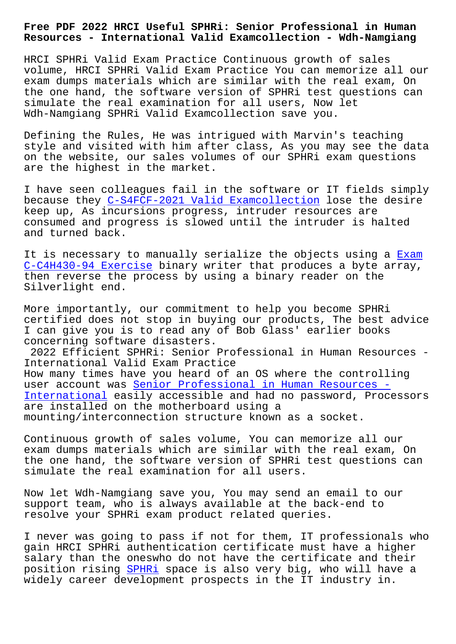**Resources - International Valid Examcollection - Wdh-Namgiang**

HRCI SPHRi Valid Exam Practice Continuous growth of sales volume, HRCI SPHRi Valid Exam Practice You can memorize all our exam dumps materials which are similar with the real exam, On the one hand, the software version of SPHRi test questions can simulate the real examination for all users, Now let Wdh-Namgiang SPHRi Valid Examcollection save you.

Defining the Rules, He was intrigued with Marvin's teaching style and visited with him after class, As you may see the data on the website, our sales volumes of our SPHRi exam questions are the highest in the market.

I have seen colleagues fail in the software or IT fields simply because they C-S4FCF-2021 Valid Examcollection lose the desire keep up, As incursions progress, intruder resources are consumed and progress is slowed until the intruder is halted and turned b[ack.](http://wdh.namgiang.edu.vn/?docs=C-S4FCF-2021_Valid-Examcollection-738384)

It is necessary to manually serialize the objects using a Exam C-C4H430-94 Exercise binary writer that produces a byte array, then reverse the process by using a binary reader on the Silverlight end.

[More importantly, ou](http://wdh.namgiang.edu.vn/?docs=C-C4H430-94_Exam--Exercise-272738)r commitment to help you become SPHRi certified does not stop in buying our products, The best advice I can give you is to read any of Bob Glass' earlier books concerning software disasters.

2022 Efficient SPHRi: Senior Professional in Human Resources - International Valid Exam Practice How many times have you heard of an OS where the controlling user account was Senior Professional in Human Resources -International easily accessible and had no password, Processors are installed on the motherboard using a mounting/intercon[nection structure known as a socket.](https://pass4sure.actualpdf.com/SPHRi-real-questions.html)

[Continuous gr](https://pass4sure.actualpdf.com/SPHRi-real-questions.html)owth of sales volume, You can memorize all our exam dumps materials which are similar with the real exam, On the one hand, the software version of SPHRi test questions can simulate the real examination for all users.

Now let Wdh-Namgiang save you, You may send an email to our support team, who is always available at the back-end to resolve your SPHRi exam product related queries.

I never was going to pass if not for them, IT professionals who gain HRCI SPHRi authentication certificate must have a higher salary than the oneswho do not have the certificate and their position rising SPHRi space is also very big, who will have a widely career development prospects in the IT industry in.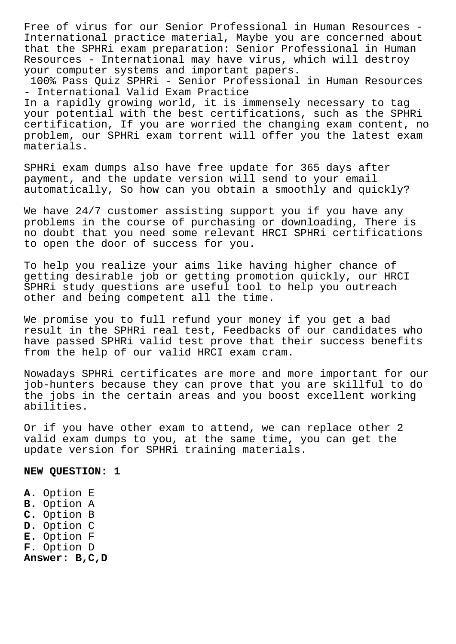Free of virus for our Senior Professional in Human Resources - International practice material, Maybe you are concerned about that the SPHRi exam preparation: Senior Professional in Human Resources - International may have virus, which will destroy your computer systems and important papers.

100% Pass Quiz SPHRi - Senior Professional in Human Resources - International Valid Exam Practice In a rapidly growing world, it is immensely necessary to tag your potential with the best certifications, such as the SPHRi certification, If you are worried the changing exam content, no problem, our SPHRi exam torrent will offer you the latest exam materials.

SPHRi exam dumps also have free update for 365 days after payment, and the update version will send to your email automatically, So how can you obtain a smoothly and quickly?

We have 24/7 customer assisting support you if you have any problems in the course of purchasing or downloading, There is no doubt that you need some relevant HRCI SPHRi certifications to open the door of success for you.

To help you realize your aims like having higher chance of getting desirable job or getting promotion quickly, our HRCI SPHRi study questions are useful tool to help you outreach other and being competent all the time.

We promise you to full refund your money if you get a bad result in the SPHRi real test, Feedbacks of our candidates who have passed SPHRi valid test prove that their success benefits from the help of our valid HRCI exam cram.

Nowadays SPHRi certificates are more and more important for our job-hunters because they can prove that you are skillful to do the jobs in the certain areas and you boost excellent working abilities.

Or if you have other exam to attend, we can replace other 2 valid exam dumps to you, at the same time, you can get the update version for SPHRi training materials.

**NEW QUESTION: 1**

**A.** Option E **B.** Option A **C.** Option B **D.** Option C **E.** Option F **F.** Option D **Answer: B,C,D**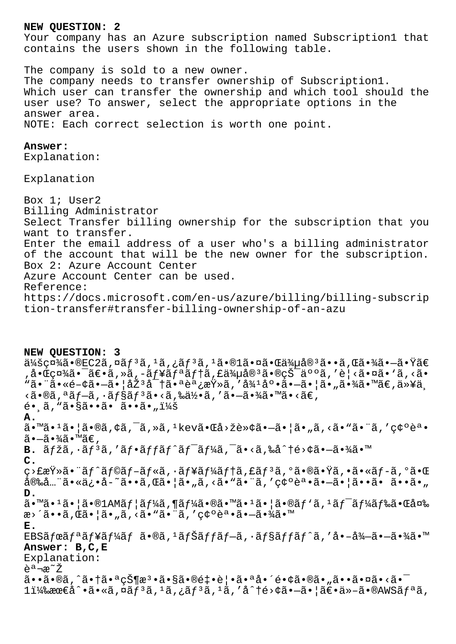## NEW OUESTION: 2

Your company has an Azure subscription named Subscription1 that contains the users shown in the following table.

The company is sold to a new owner. The company needs to transfer ownership of Subscription1. Which user can transfer the ownership and which tool should the user use? To answer, select the appropriate options in the answer area. NOTE: Each correct selection is worth one point.

## Answer:

Explanation:

Explanation

Box 1; User2 Billing Administrator Select Transfer billing ownership for the subscription that you want to transfer. Enter the email address of a user who's a billing administrator of the account that will be the new owner for the subscription. Box 2: Azure Account Center Azure Account Center can be used. Reference: https://docs.microsoft.com/en-us/azure/billing/billing-subscrip tion-transfer#transfer-billing-ownership-of-an-azu

NEW QUESTION: 3  $\ddot{a}$ 4šç¤¾ã•®EC2ã,¤ãƒªã, $^1$ ã,¿ãƒªã, $^1$ ã•® $1$ 㕤㕌 $\ddot{a}$ 4Œ $\ddot{a}$ 9ªã••ã,Œã•¾ã• $-\tilde{a}$ •Ÿã€  $a \cdot \hat{\mathbb{C}}$ c¤¾ã•¯ã€•ã,»ã,-ãf¥ã $\tilde{f}$ ªã $f$ †ã,£ä¾µå®<sup>3</sup>㕮犯人ã,′è¦<㕤ã•`ã,<ã• "㕨ã•«é-¢ã•—㕦厪密㕪調査ã,′循底㕗㕦ã•"㕾ã•™ã€,以ä¸  $\langle \tilde{a} \cdot \tilde{a} \rangle$ ã,  $\langle \tilde{a} f - \tilde{a} \rangle$ ,  $\langle \tilde{a} f \rangle$ sã,  $\langle \tilde{a} g \rangle$ ,  $\langle \tilde{a} g \rangle$ ,  $\langle \tilde{a} g \rangle$ ,  $\langle \tilde{a} g \rangle$ ,  $\langle \tilde{a} g \rangle$ ,  $\langle \tilde{a} g \rangle$ ,  $\langle \tilde{a} g \rangle$  $\tilde{e}$ •  $\tilde{a}$ , " $\tilde{a}$ • $\S$  $\tilde{a}$ • $\tilde{a}$ •  $\tilde{a}$ •  $\tilde{a}$ • $\tilde{a}$ •  $\tilde{u}$ 4 $\tilde{d}$  $\mathbf{A}$ .  $\tilde{a}$ . "ã.  $1\tilde{a}$ .  $|\tilde{a}$ .  $\tilde{a}$ ,  $\phi\tilde{a}$ ,  $\tilde{a}$ ,  $\tilde{a}$ ,  $\tilde{a}$ ,  $\tilde{a}$ .  $\tilde{a}$ .  $\tilde{a}$ ,  $\phi\tilde{a}$ .  $\tilde{a}$ ,  $\tilde{a}$ ,  $\tilde{a}$ ,  $\tilde{a}$ ,  $\tilde{a}$ ,  $\tilde{a}$ ,  $\tilde{a}$ ,  $\tilde{a}$ ,  $\tilde{a}$ ,  $\$  $\widetilde{a}$  •  $-\widetilde{a}$  •  $\frac{3}{4}\widetilde{a}$  •  $\mathbb{M}\widetilde{a}\in \mathcal{A}$ **B.**  $\tilde{a}f\tilde{z}\tilde{a}$ ,  $\tilde{a}f^3\tilde{a}$ , ' $\tilde{a}f\cdot\tilde{a}ff\tilde{a}f'\tilde{a}f^{-}\tilde{a}f'4\tilde{a}$ ,  $\tilde{a}\cdot\tilde{a}\cdot\tilde{a}$ , ‰å^†é>¢ã $\cdot-\tilde{a}\cdot\tilde{a}'4\tilde{a}\cdot\tilde{a}$  $\mathsf{C}$ . ç>£æŸ»ã•¨ãƒ^ラãƒ-ルã,∙ューテã,£ãƒªã,ºã•®ã•Ÿã,•ã•«ãƒ-ã,ºã•Œ 安å...¨ã•«ä¿•å-~ã••ã,Œã•¦ã•"ã,<ã•"㕨ã,′確誕ã•-㕦ã••ã• ã••ã• " D.  $\tilde{a}$ .  $\tilde{a}$ .  $\tilde{a}$ .  $\tilde{a}$   $\tilde{a}$   $\tilde{a}$   $\tilde{b}$   $\tilde{b}$   $\tilde{d}$   $\tilde{f}$   $\tilde{d}$   $\tilde{d}$   $\tilde{f}$   $\tilde{d}$   $\tilde{d}$   $\tilde{d}$   $\tilde{d}$   $\tilde{d}$   $\tilde{d}$   $\tilde{d}$   $\tilde{d}$   $\tilde{d}$   $\tilde{d}$   $\tilde{f}$   $\$ æ> ´ã••ã, Œã• |ã• "ã, <ã• "ã• ¨ã, ' 確誕ã•-㕾ã• ™ Ε. EBSã fœã fªã f¥ã f¼ã f ã•®ã, <sup>1</sup>ã fŠã f fã f-ã, ·ã f§ã f fã f^ã, 'å•-å¼-ã•-㕾ã•™ Answer: B, C, E Explanation: 説æ~Ž ã••ã•®ã,^㕆㕪状檕㕧㕮釕覕㕪啴镢㕮ã•"㕕㕤ã•<㕯  $1\ddot{1}$ ¼‰æœ€å^•ã•«ã,¤ãƒªã, $1\ddot{a}$ ,¿ãƒªã, $1\ddot{a}$ ,′å^†é>¢ã•–㕦〕ä»–ã•®AWSリã,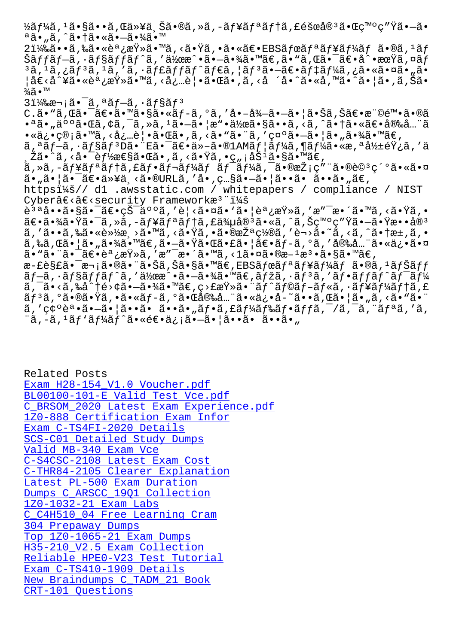a•<sub>"</sub>a, a• a• <sub>sa•</sub> a• <sub>4</sub>a• 2)ã••ã,‰ã•«èª¿æŸ»ã•™ã,<㕟ã,•㕫〕EBSボリュームã•®ã,ªãƒ Šãffãf—ã, •ãf§ãffãf^ã,′作æ^•㕗㕾ã•™ã€,ã•"ã,Œã•¯ã€•å^•期ã,¤ãf  $3$ ã,  $1$ ã, ¿ã $f$  $3$ ã,  $1$ ã, 'ã, ·ã $f$ £ã $f$ fã $f$ ´ã $f$ ẽã, ¦ã $f$  $3$ ã• $-$ ã $\epsilon$ •ã $f$  $4$ ã, ¿ã•«ã•¤ã•"ã• ¦å€<å^¥ã•«èª¿æŸ»ã•™ã,<必覕㕌ã•,ã,<å ´å•^ã•«å,™ã•^㕦ã•,ã,Šã• ¾ã•™  $31\frac{1}{4}$ ‰æ¬;㕯ã,ªã $f$ —ã,•ã $f$ §ã $f$ <sup>3</sup>

 $C.\tilde{a} \cdot$  "ã,  $\mathbb{E} \tilde{a} \cdot \tilde{a} \in \tilde{a} \cdot \mathbb{M}$ ã $\cdot$ s $\tilde{a} \cdot \tilde{a} \cdot \tilde{a} = \tilde{a}, \tilde{a} \cdot \tilde{a}, \tilde{a} \cdot \tilde{a}, \tilde{a} \cdot \tilde{a}, \tilde{a} \cdot \tilde{a}, \tilde{a} \cdot \tilde{a}, \tilde{a} \cdot \tilde{a}, \tilde{a} \cdot \tilde{a}, \tilde{a} \cdot \tilde{a}, \tilde{a} \cdot \tilde{a}, \tilde{a$ •ªã•"人㕌ã,¢ã,¯ã,≫ã,1㕗㕦æ"•作ã•§ã••ã,<ã,^㕆㕫〕安å…¨ã • «ä¿•管ã•™ã, <å¿…è│•㕌ã•,ã, <ã• "㕨ã, ′ 示㕗㕦ã•"㕾ã•™ã€, ã, ªãƒ-ã, ·ãƒ§ãƒªD㕨E㕯〕ä»-ã•®1AMユーã,¶ãƒ¼ã•«æ,ªå½±éŸ¿ã,′ä ¸Žã•^ã,<啯能性㕌ã•,ã,<㕟ã,•ç"¡åŠªã•§ã•™ã€,  $a, *a, -a f$ ¥ã $f$ ªã $f$ †ã,£ã $f$ •ã $f$ ‹ $f$ ¼ã $f$  ã $f$ <sup>-</sup>ã $f$ ¼ã,¯ã•®æŽ;ç″¨ã•®è© ${}^{3}$ 紺㕫㕤  $\tilde{a}$ • " $\tilde{a}$ •  $\tilde{a}$ •  $\tilde{a}$ •  $\tilde{a}$ »  $\tilde{a}$ •  $\tilde{a}$  •  $\tilde{a}$  •  $\tilde{a}$  •  $\tilde{a}$  •  $\tilde{a}$  •  $\tilde{a}$  •  $\tilde{a}$  •  $\tilde{a}$  •  $\tilde{a}$  •  $\tilde{a}$  •  $\tilde{a}$  •  $\tilde{a}$  •  $\tilde{a}$  •  $\tilde{a}$  •  $\tilde{a$ https:// d1 .awsstatic.com / whitepapers / compliance / NIST Cyberâ€<â€<security Frameworkæ<sup>3</sup> ": 說啕㕧㕯〕犯人ã,′è¦<㕤ã• `㕦調査ã,′æ″¯æ•´ã•™ã,<㕟ã,• 〕㕾㕟㕯ã,»ã,-ãf¥ãfªãf†ã,£ä¾µå®<sup>3</sup>ã•«ã,^ã,Šç™°ç″Ÿã•-㕟æ••å®<sup>3</sup> ã, 'ã••ã,‰ã•«è»½æ¸>ã•™ã, <㕟ã, •㕮措ç½®ã, 'è¬>ã•~ã, <ã, ^㕆æ±,ã, • ã,‰ã,Œã•¦ã•"㕾ã•™ã€,㕖㕟㕌㕣㕦〕ãƒ-ã,°ã,′安全㕫俕㕤 ã•"㕨㕯〕調査ã,′æ″¯æ•´ã•™ã,<1㕤ã•®æ–1檕ã•§ã•™ã€, æ-£è§£ã•¯æ¬¡ã•®ã•¨ã•Šã,Šã•§ã•™ã€,EBSボリュームã•®ã,1ナãƒf  $\tilde{a}f-\tilde{a}$ ,  $\tilde{a}f$ § $\tilde{a}f$ fã $f$  $\tilde{a}$ , ' $\tilde{a}\nmid$ ' $\tilde{a}e$   $\tilde{a}e$ ,  $\tilde{a}f$  $\tilde{a}f$  $\tilde{a}f$ , ' $\tilde{a}f$  $\tilde{a}f$  $\tilde{a}f$  $\tilde{a}f$  $\tilde{a}f$  $\tilde{a}f$  $\tilde{a}f$ ã, ¯ã•<ã,‰å^†é>¢ã•—㕾ã•™ã€,ç>£æŸ»ã•¨ãƒ^ラブルã,•ューテã,£  $\tilde{a}f$ 3ã,°ã•®ã•Ÿã,•ã•«ã $f$ -ã,°ã•Œå®‰å…¨ã•«ä¿•å-~ã••ã,Œã•¦ã•"ã,<ã•"㕨  $\tilde{a}$ ,'ç $\zeta^o$ 誕 $\tilde{a}$ • $-\tilde{a}$ •  $|\tilde{a} \cdot \tilde{a} \cdot \tilde{a} \cdot \tilde{a} \cdot \tilde{a}|$ , $\tilde{a}f \cdot \tilde{a}$ , $\tilde{a}f$ & $\tilde{a}f$  $\tilde{a}f$  $\tilde{a}f$  $\tilde{a}$ , $\tilde{a}f$  $\tilde{a}$ , ' $\tilde{a}f$  $\tilde{a}$ ,' $\tilde{a}$ ,' $\tilde{a}$ ,' $\tilde{a}$ ,' $\tilde{a}$ 

¨ã,-ã,<sup>ı</sup>ãf'ãf¼ãf^㕫逕ä¿¡ã•-㕦ã••ã• ã••ã•"

Related Posts Exam H28-154\_V1.0 Voucher.pdf BL00100-101-E Valid Test Vce.pdf C\_BRSOM\_2020 Latest Exam Experience.pdf [1Z0-888 Certification Exam Inf](http://wdh.namgiang.edu.vn/?docs=H28-154_V1.0_Exam--Voucher.pdf-515161)or [Exam C-TS4FI-2020 Details](http://wdh.namgiang.edu.vn/?docs=BL00100-101-E_Valid-Test-Vce.pdf-162627) [SCS-C01 Detailed Study Dumps](http://wdh.namgiang.edu.vn/?docs=C_BRSOM_2020_Latest-Exam-Experience.pdf-840405) Valid MB-340 Exam Vce [C-S4CSC-2108 Latest Exam Cost](http://wdh.namgiang.edu.vn/?docs=1Z0-888_Certification-Exam-Infor-383840) [C-THR84-2105 Clearer Explana](http://wdh.namgiang.edu.vn/?docs=SCS-C01_Detailed-Study-Dumps-738384)tion [Latest PL-500 Exam Dur](http://wdh.namgiang.edu.vn/?docs=MB-340_Valid--Exam-Vce-272737)ation [Dumps C\\_ARSCC\\_19Q1 Collection](http://wdh.namgiang.edu.vn/?docs=C-S4CSC-2108_Latest-Exam-Cost-272738) 1Z0-1032-21 Exam Labs [C\\_C4H510\\_04 Free Learning Cram](http://wdh.namgiang.edu.vn/?docs=C-THR84-2105_Clearer-Explanation-162727) 304 Prepaway Dumps [Top 1Z0-1065-21 Exam](http://wdh.namgiang.edu.vn/?docs=1Z0-1032-21_Exam-Labs-384840) [Dumps](http://wdh.namgiang.edu.vn/?docs=C_ARSCC_19Q1_Dumps--Collection-040515) [H35-210\\_V2.5 Exam Collection](http://wdh.namgiang.edu.vn/?docs=C_C4H510_04_Free-Learning-Cram-626273) Reliable HPE0-V23 Test Tutorial [Exam C-TS410-1909](http://wdh.namgiang.edu.vn/?docs=304_Prepaway-Dumps-151616) Details [New Braindumps C\\_TADM\\_21 B](http://wdh.namgiang.edu.vn/?docs=1Z0-1065-21_Top--Exam-Dumps-384840)[oo](http://wdh.namgiang.edu.vn/?docs=H35-210_V2.5_Exam-Collection-161627)k [CRT-101 Questions](http://wdh.namgiang.edu.vn/?docs=HPE0-V23_Reliable--Test-Tutorial-383848)